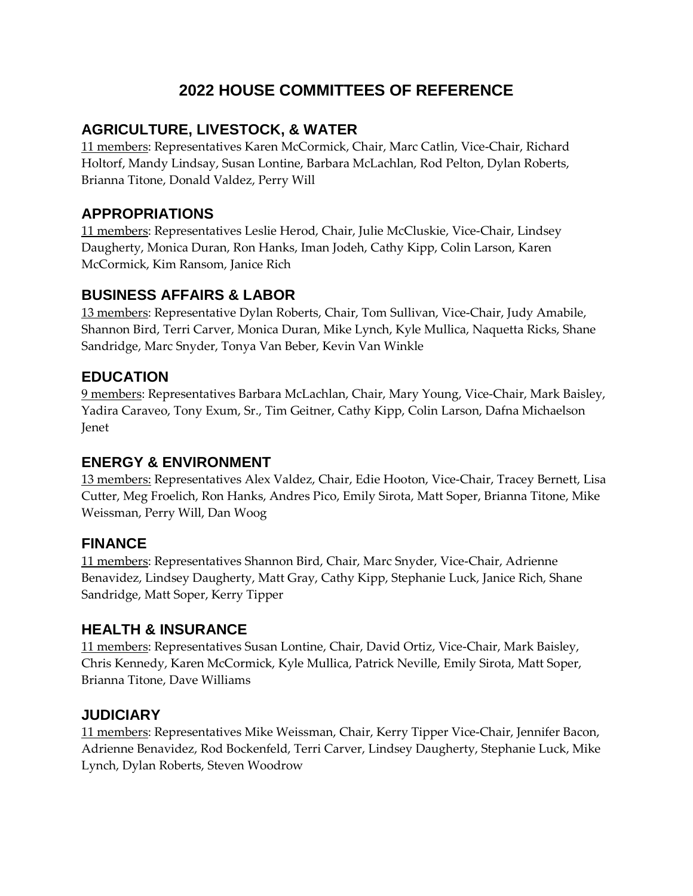# **2022 HOUSE COMMITTEES OF REFERENCE**

### **AGRICULTURE, LIVESTOCK, & WATER**

11 members: Representatives Karen McCormick, Chair, Marc Catlin, Vice-Chair, Richard Holtorf, Mandy Lindsay, Susan Lontine, Barbara McLachlan, Rod Pelton, Dylan Roberts, Brianna Titone, Donald Valdez, Perry Will

### **APPROPRIATIONS**

11 members: Representatives Leslie Herod, Chair, Julie McCluskie, Vice-Chair, Lindsey Daugherty, Monica Duran, Ron Hanks, Iman Jodeh, Cathy Kipp, Colin Larson, Karen McCormick, Kim Ransom, Janice Rich

#### **BUSINESS AFFAIRS & LABOR**

13 members: Representative Dylan Roberts, Chair, Tom Sullivan, Vice-Chair, Judy Amabile, Shannon Bird, Terri Carver, Monica Duran, Mike Lynch, Kyle Mullica, Naquetta Ricks, Shane Sandridge, Marc Snyder, Tonya Van Beber, Kevin Van Winkle

#### **EDUCATION**

9 members: Representatives Barbara McLachlan, Chair, Mary Young, Vice-Chair, Mark Baisley, Yadira Caraveo, Tony Exum, Sr., Tim Geitner, Cathy Kipp, Colin Larson, Dafna Michaelson Jenet

### **ENERGY & ENVIRONMENT**

13 members: Representatives Alex Valdez, Chair, Edie Hooton, Vice-Chair, Tracey Bernett, Lisa Cutter, Meg Froelich, Ron Hanks, Andres Pico, Emily Sirota, Matt Soper, Brianna Titone, Mike Weissman, Perry Will, Dan Woog

### **FINANCE**

11 members: Representatives Shannon Bird, Chair, Marc Snyder, Vice-Chair, Adrienne Benavidez, Lindsey Daugherty, Matt Gray, Cathy Kipp, Stephanie Luck, Janice Rich, Shane Sandridge, Matt Soper, Kerry Tipper

### **HEALTH & INSURANCE**

11 members: Representatives Susan Lontine, Chair, David Ortiz, Vice-Chair, Mark Baisley, Chris Kennedy, Karen McCormick, Kyle Mullica, Patrick Neville, Emily Sirota, Matt Soper, Brianna Titone, Dave Williams

### **JUDICIARY**

11 members: Representatives Mike Weissman, Chair, Kerry Tipper Vice-Chair, Jennifer Bacon, Adrienne Benavidez, Rod Bockenfeld, Terri Carver, Lindsey Daugherty, Stephanie Luck, Mike Lynch, Dylan Roberts, Steven Woodrow